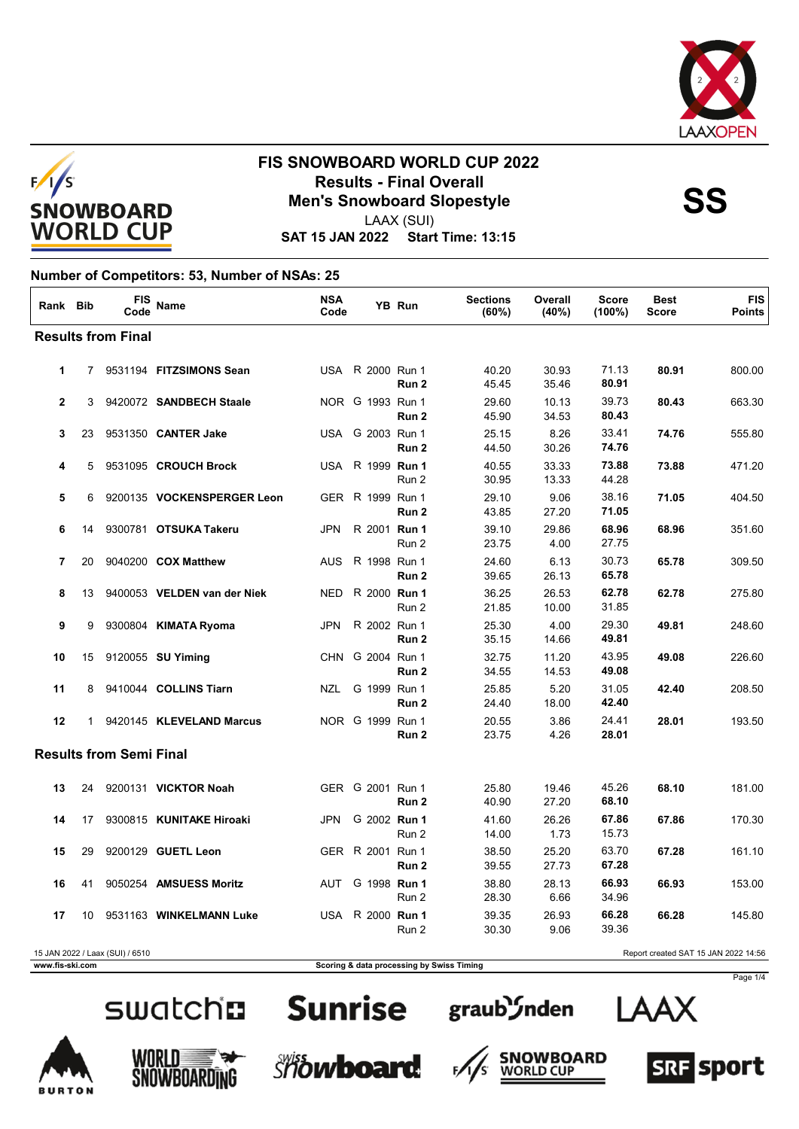



LAAX (SUI)

**SAT 15 JAN 2022 Start Time: 13:15**

### **Number of Competitors: 53, Number of NSAs: 25**

| Rank Bib     |    | FIS<br>Code                     | Name                        | <b>NSA</b><br>Code |                         | YB Run           | <b>Sections</b><br>(60%) | Overall<br>(40%) | <b>Score</b><br>$(100\%)$ | <b>Best</b><br><b>Score</b>          | <b>FIS</b><br><b>Points</b> |
|--------------|----|---------------------------------|-----------------------------|--------------------|-------------------------|------------------|--------------------------|------------------|---------------------------|--------------------------------------|-----------------------------|
|              |    | <b>Results from Final</b>       |                             |                    |                         |                  |                          |                  |                           |                                      |                             |
| $\mathbf{1}$ |    |                                 | 7 9531194 FITZSIMONS Sean   |                    | USA R 2000 Run 1        | Run 2            | 40.20<br>45.45           | 30.93<br>35.46   | 71.13<br>80.91            | 80.91                                | 800.00                      |
| $\mathbf{2}$ | 3  |                                 | 9420072 SANDBECH Staale     |                    | NOR G 1993 Run 1        | Run 2            | 29.60<br>45.90           | 10.13<br>34.53   | 39.73<br>80.43            | 80.43                                | 663.30                      |
| 3            | 23 |                                 | 9531350 CANTER Jake         |                    | USA G 2003 Run 1        | Run 2            | 25.15<br>44.50           | 8.26<br>30.26    | 33.41<br>74.76            | 74.76                                | 555.80                      |
| 4            | 5  |                                 | 9531095 CROUCH Brock        |                    | USA R 1999 Run 1        | Run 2            | 40.55<br>30.95           | 33.33<br>13.33   | 73.88<br>44.28            | 73.88                                | 471.20                      |
| 5            | 6  |                                 | 9200135 VOCKENSPERGER Leon  |                    | GER R 1999 Run 1        | Run 2            | 29.10<br>43.85           | 9.06<br>27.20    | 38.16<br>71.05            | 71.05                                | 404.50                      |
| 6            | 14 |                                 | 9300781 OTSUKA Takeru       | <b>JPN</b>         | R 2001 Run 1            | Run 2            | 39.10<br>23.75           | 29.86<br>4.00    | 68.96<br>27.75            | 68.96                                | 351.60                      |
| 7            | 20 |                                 | 9040200 COX Matthew         | <b>AUS</b>         | R 1998 Run 1            | Run <sub>2</sub> | 24.60<br>39.65           | 6.13<br>26.13    | 30.73<br>65.78            | 65.78                                | 309.50                      |
| 8            | 13 |                                 | 9400053 VELDEN van der Niek | <b>NED</b>         | R 2000 Run 1            | Run 2            | 36.25<br>21.85           | 26.53<br>10.00   | 62.78<br>31.85            | 62.78                                | 275.80                      |
| 9            | 9  |                                 | 9300804 KIMATA Ryoma        | <b>JPN</b>         | R 2002 Run 1            | Run <sub>2</sub> | 25.30<br>35.15           | 4.00<br>14.66    | 29.30<br>49.81            | 49.81                                | 248.60                      |
| 10           | 15 |                                 | 9120055 <b>SU Yiming</b>    |                    | CHN G 2004 Run 1        | Run <sub>2</sub> | 32.75<br>34.55           | 11.20<br>14.53   | 43.95<br>49.08            | 49.08                                | 226.60                      |
| 11           | 8  |                                 | 9410044 COLLINS Tiarn       | NZL                | G 1999 Run 1            | Run 2            | 25.85<br>24.40           | 5.20<br>18.00    | 31.05<br>42.40            | 42.40                                | 208.50                      |
| 12           |    |                                 | 1 9420145 KLEVELAND Marcus  |                    | NOR G 1999 Run 1        | Run 2            | 20.55<br>23.75           | 3.86<br>4.26     | 24.41<br>28.01            | 28.01                                | 193.50                      |
|              |    | <b>Results from Semi Final</b>  |                             |                    |                         |                  |                          |                  |                           |                                      |                             |
| 13           | 24 |                                 | 9200131 VICKTOR Noah        |                    | GER G 2001 Run 1        | Run 2            | 25.80<br>40.90           | 19.46<br>27.20   | 45.26<br>68.10            | 68.10                                | 181.00                      |
| 14           | 17 |                                 | 9300815 KUNITAKE Hiroaki    | JPN                | G 2002 Run 1            | Run 2            | 41.60<br>14.00           | 26.26<br>1.73    | 67.86<br>15.73            | 67.86                                | 170.30                      |
| 15           | 29 |                                 | 9200129 GUETL Leon          |                    | GER R 2001 Run 1        | Run 2            | 38.50<br>39.55           | 25.20<br>27.73   | 63.70<br>67.28            | 67.28                                | 161.10                      |
| 16           | 41 |                                 | 9050254 AMSUESS Moritz      |                    | AUT G 1998 <b>Run 1</b> | Run 2            | 38.80<br>28.30           | 28.13<br>6.66    | 66.93<br>34.96            | 66.93                                | 153.00                      |
| 17           | 10 |                                 | 9531163 WINKELMANN Luke     |                    | USA R 2000 Run 1        | Run 2            | 39.35<br>30.30           | 26.93<br>9.06    | 66.28<br>39.36            | 66.28                                | 145.80                      |
|              |    | 15 JAN 2022 / Laax (SUI) / 6510 |                             |                    |                         |                  |                          |                  |                           | Report created SAT 15 JAN 2022 14:56 |                             |

**www.fis-ski.com Scoring & data processing by Swiss Timing** 

# swatch**n** Sunrise















Page 1/4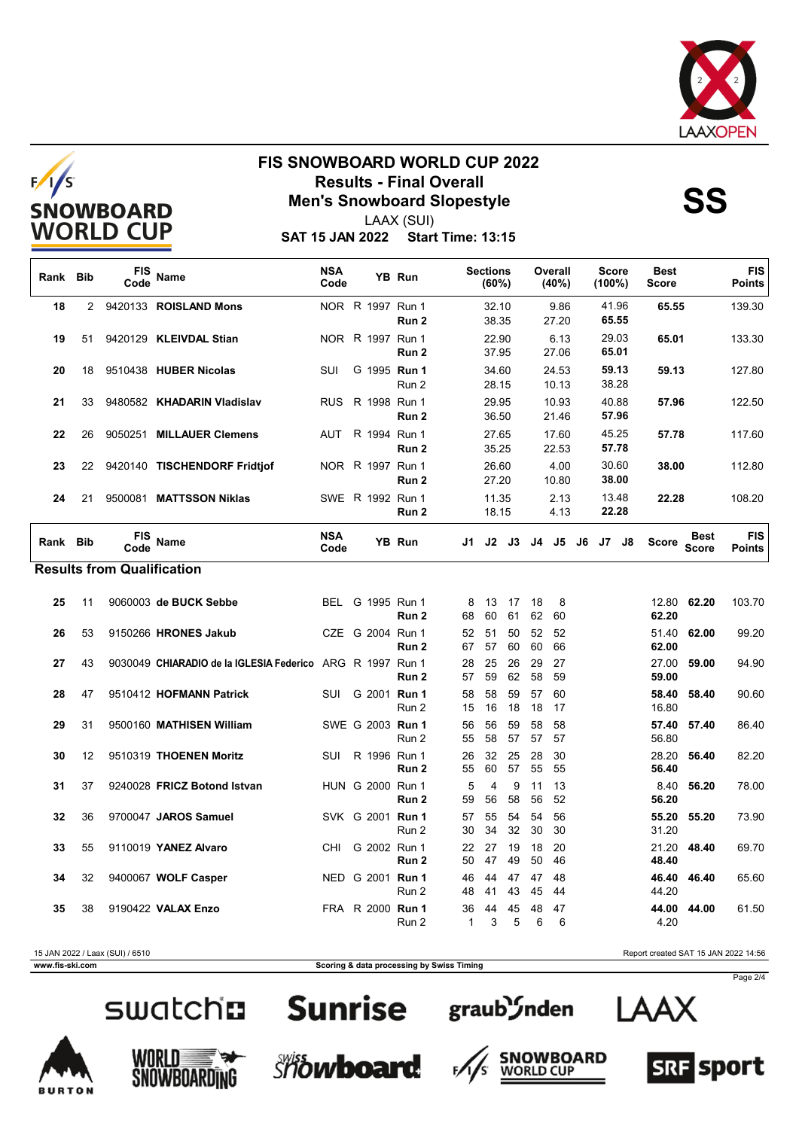



LAAX (SUI)

**SAT 15 JAN 2022 Start Time: 13:15**

| Rank Bib |    | FIS<br>Code                       | <b>Name</b>                                               | <b>NSA</b><br>Code |                  | YB Run                    |          | <b>Sections</b><br>(60%) |           |          | Overall<br>(40%) | <b>Score</b><br>$(100\%)$ |                | <b>Best</b><br><b>Score</b> |                      | <b>FIS</b><br><b>Points</b> |
|----------|----|-----------------------------------|-----------------------------------------------------------|--------------------|------------------|---------------------------|----------|--------------------------|-----------|----------|------------------|---------------------------|----------------|-----------------------------|----------------------|-----------------------------|
| 18       | 2  |                                   | 9420133 ROISLAND Mons                                     |                    | NOR R 1997 Run 1 | Run <sub>2</sub>          |          | 32.10<br>38.35           |           |          | 9.86<br>27.20    | 41.96                     | 65.55          | 65.55                       |                      | 139.30                      |
| 19       | 51 |                                   | 9420129 KLEIVDAL Stian                                    |                    | NOR R 1997 Run 1 | Run 2                     |          | 22.90<br>37.95           |           |          | 6.13<br>27.06    | 29.03<br>65.01            |                | 65.01                       |                      | 133.30                      |
| 20       | 18 |                                   | 9510438 HUBER Nicolas                                     | SUI                |                  | G 1995 Run 1<br>Run 2     |          | 34.60<br>28.15           |           |          | 24.53<br>10.13   | 38.28                     | 59.13          | 59.13                       |                      | 127.80                      |
| 21       | 33 |                                   | 9480582 KHADARIN Vladislav                                | <b>RUS</b>         | R 1998 Run 1     | Run 2                     |          | 29.95<br>36.50           |           |          | 10.93<br>21.46   | 40.88                     | 57.96          | 57.96                       |                      | 122.50                      |
| 22       | 26 | 9050251                           | <b>MILLAUER Clemens</b>                                   | <b>AUT</b>         | R 1994 Run 1     | Run <sub>2</sub>          |          | 27.65<br>35.25           |           |          | 17.60<br>22.53   | 45.25<br>57.78            |                | 57.78                       |                      | 117.60                      |
| 23       | 22 |                                   | 9420140 TISCHENDORF Fridtjof                              |                    | NOR R 1997 Run 1 | Run 2                     |          | 26.60<br>27.20           |           |          | 4.00<br>10.80    |                           | 30.60<br>38.00 | 38.00                       |                      | 112.80                      |
| 24       | 21 |                                   | 9500081 MATTSSON Niklas                                   |                    | SWE R 1992 Run 1 | Run <sub>2</sub>          |          | 11.35<br>18.15           |           |          | 2.13<br>4.13     | 13.48<br>22.28            |                | 22.28                       |                      | 108.20                      |
| Rank Bib |    |                                   | Code Name                                                 | <b>NSA</b><br>Code |                  | YB Run                    | J1       |                          | $J2$ $J3$ | J4       | J5 J6            |                           | J7 J8          | <b>Score</b>                | Best<br><b>Score</b> | <b>FIS</b><br><b>Points</b> |
|          |    | <b>Results from Qualification</b> |                                                           |                    |                  |                           |          |                          |           |          |                  |                           |                |                             |                      |                             |
| 25       | 11 |                                   | 9060003 de BUCK Sebbe                                     |                    | BEL G 1995 Run 1 | Run 2                     | 8<br>68  | 13<br>60                 | 17<br>61  | 18<br>62 | 8<br>60          |                           |                | 62.20                       | 12.80 62.20          | 103.70                      |
| 26       | 53 |                                   | 9150266 HRONES Jakub                                      |                    | CZE G 2004 Run 1 | Run 2                     | 52<br>67 | 51<br>57                 | 50<br>60  | 52<br>60 | 52<br>66         |                           |                | 51.40<br>62.00              | 62.00                | 99.20                       |
| 27       | 43 |                                   | 9030049 CHIARADIO de la IGLESIA Federico ARG R 1997 Run 1 |                    |                  | Run 2                     | 28<br>57 | 25<br>59                 | 26<br>62  | 29<br>58 | 27<br>59         |                           |                | 27.00<br>59.00              | 59.00                | 94.90                       |
| 28       | 47 |                                   | 9510412 HOFMANN Patrick                                   | SUI                | G 2001 Run 1     | Run 2                     | 58<br>15 | 58<br>16                 | 59<br>18  | 57<br>18 | 60<br>17         |                           |                | 58.40<br>16.80              | 58.40                | 90.60                       |
| 29       | 31 |                                   | 9500160 MATHISEN William                                  |                    | SWE G 2003 Run 1 | Run 2                     | 56<br>55 | 56<br>58                 | 59<br>57  | 58<br>57 | 58<br>57         |                           |                | 57.40<br>56.80              | 57.40                | 86.40                       |
| 30       | 12 |                                   | 9510319 THOENEN Moritz                                    | SUI                | R 1996 Run 1     | Run <sub>2</sub>          | 26<br>55 | 32<br>60                 | 25<br>57  | 28<br>55 | 30<br>55         |                           |                | 28.20<br>56.40              | 56.40                | 82.20                       |
| 31       | 37 |                                   | 9240028 FRICZ Botond Istvan                               |                    | HUN G 2000 Run 1 | Run 2                     | 5<br>59  | $\overline{4}$<br>56     | 9<br>58   | 11<br>56 | 13<br>52         |                           |                | 8.40<br>56.20               | 56.20                | 78.00                       |
| 32       | 36 |                                   | 9700047 JAROS Samuel                                      |                    | SVK G 2001 Run 1 | Run 2                     | 57<br>30 | 55<br>34                 | 54<br>32  | 54<br>30 | 56<br>30         |                           |                | 55.20<br>31.20              | 55.20                | 73.90                       |
| 33       | 55 |                                   | 9110019 YANEZ Alvaro                                      | CHI                | G 2002 Run 1     | Run 2                     | 22<br>50 | 27<br>47                 | 19<br>49  | 18<br>50 | 20<br>46         |                           |                | 21.20<br>48.40              | 48.40                | 69.70                       |
| 34       | 32 |                                   | 9400067 WOLF Casper                                       |                    | NED G 2001 Run 1 | Run 2                     | 46<br>48 | 44<br>41                 | 47<br>43  | 47<br>45 | 48<br>44         |                           |                | 46.40<br>44.20              | 46.40                | 65.60                       |
| 35       | 38 |                                   | 9190422 VALAX Enzo                                        |                    |                  | FRA R 2000 Run 1<br>Run 2 | 36<br>1  | 44<br>3                  | 45<br>5   | 48<br>6  | 47<br>6          |                           |                | 44.00<br>4.20               | 44.00                | 61.50                       |

15 JAN 2022 / Laax (SUI) / 6510 Report created SAT 15 JAN 2022 14:56

**www.fis-ski.com Scoring & data processing by Swiss Timing**

















Page 2/4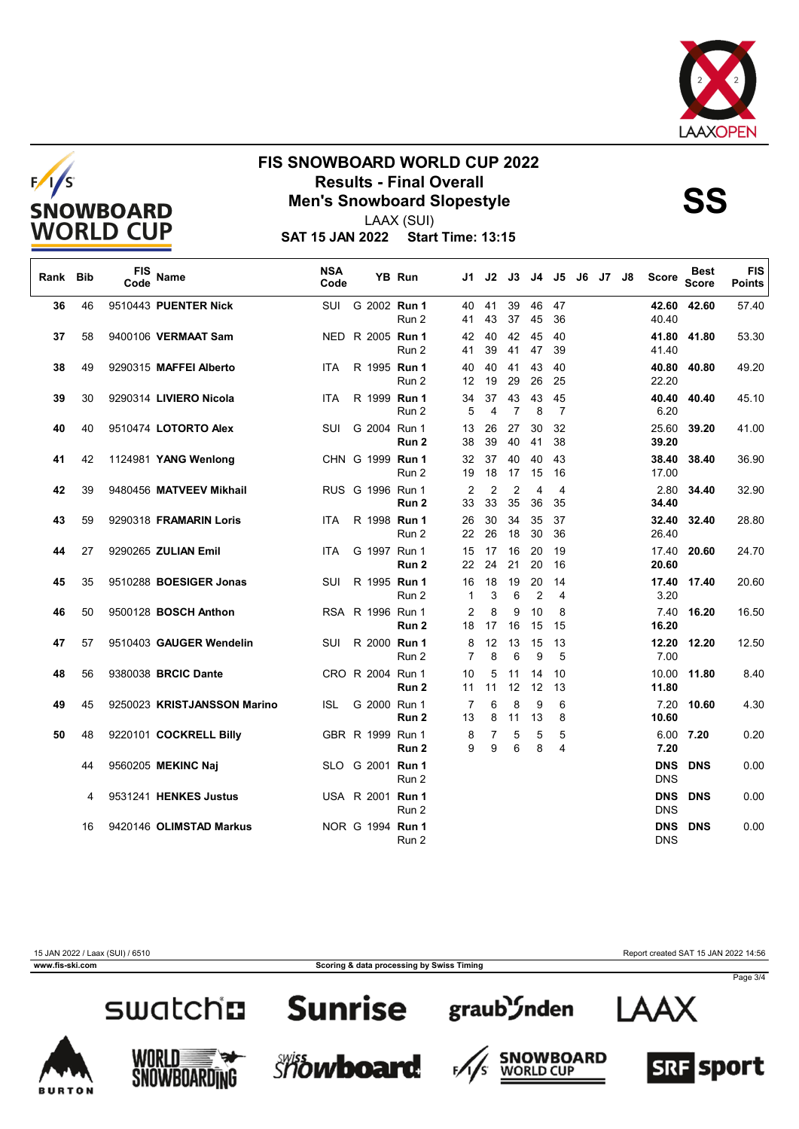



LAAX (SUI)

**SAT 15 JAN 2022 Start Time: 13:15**

| Rank | <b>Bib</b> | FIS<br>Code | Name                        | <b>NSA</b><br>Code |                  | YB Run           | J1.                  | J2                   | J3                   | J4                   | J5 I     | J6 | J7 J8 | Score                    | <b>Best</b><br><b>Score</b> | <b>FIS</b><br>Points |
|------|------------|-------------|-----------------------------|--------------------|------------------|------------------|----------------------|----------------------|----------------------|----------------------|----------|----|-------|--------------------------|-----------------------------|----------------------|
| 36   | 46         |             | 9510443 PUENTER Nick        |                    | SUI G 2002 Run 1 | Run 2            | 40<br>41             | 41<br>43             | 39<br>37             | 46<br>45             | 47<br>36 |    |       | 40.40                    | 42.60 42.60                 | 57.40                |
| 37   | 58         |             | 9400106 VERMAAT Sam         | NED.               | R 2005 Run 1     | Run 2            | 42<br>41             | 40<br>39             | 42<br>41             | 45<br>47             | 40<br>39 |    |       | 41.40                    | 41.80 41.80                 | 53.30                |
| 38   | 49         |             | 9290315 MAFFEI Alberto      | ITA.               | R 1995 Run 1     | Run 2            | 40<br>12             | 40<br>19             | 41<br>29             | 43<br>26             | 40<br>25 |    |       | 22.20                    | 40.80 40.80                 | 49.20                |
| 39   | 30         |             | 9290314 LIVIERO Nicola      | <b>ITA</b>         | R 1999 Run 1     | Run 2            | 34<br>5              | 37<br>4              | 43<br>$\overline{7}$ | 43<br>8              | 45<br>7  |    |       | 6.20                     | 40.40 40.40                 | 45.10                |
| 40   | 40         |             | 9510474 LOTORTO Alex        | SUI                | G 2004 Run 1     | Run <sub>2</sub> | 13<br>38             | 26<br>39             | 27<br>40             | 30<br>41             | 32<br>38 |    |       | 25.60<br>39.20           | 39.20                       | 41.00                |
| 41   | 42         |             | 1124981 YANG Wenlong        |                    | CHN G 1999 Run 1 | Run 2            | 32<br>19             | 37<br>18             | 40<br>17             | 40<br>15             | 43<br>16 |    |       | 38.40<br>17.00           | 38.40                       | 36.90                |
| 42   | 39         |             | 9480456 MATVEEV Mikhail     |                    | RUS G 1996 Run 1 | Run 2            | 2<br>33              | $\overline{2}$<br>33 | $\overline{2}$<br>35 | 4<br>36              | 4<br>35  |    |       | 2.80<br>34.40            | 34.40                       | 32.90                |
| 43   | 59         |             | 9290318 FRAMARIN Loris      | ITA.               | R 1998 Run 1     | Run 2            | 26<br>22             | 30<br>26             | 34<br>18             | 35<br>30             | 37<br>36 |    |       | 32.40<br>26.40           | 32.40                       | 28.80                |
| 44   | 27         |             | 9290265 ZULIAN Emil         | <b>ITA</b>         | G 1997 Run 1     | Run 2            | 15<br>22             | 17<br>24             | 16<br>21             | 20<br>20             | 19<br>16 |    |       | 20.60                    | 17.40 20.60                 | 24.70                |
| 45   | 35         |             | 9510288 BOESIGER Jonas      | SUI                | R 1995 Run 1     | Run 2            | 16<br>$\mathbf 1$    | 18<br>3              | 19<br>6              | 20<br>$\overline{2}$ | 14<br>4  |    |       | 3.20                     | 17.40 17.40                 | 20.60                |
| 46   | 50         |             | 9500128 BOSCH Anthon        |                    | RSA R 1996 Run 1 | Run <sub>2</sub> | $\overline{2}$<br>18 | 8<br>17              | 9<br>16              | 10<br>15             | 8<br>15  |    |       | 7.40<br>16.20            | 16.20                       | 16.50                |
| 47   | 57         |             | 9510403 GAUGER Wendelin     | SUI                | R 2000 Run 1     | Run 2            | 8<br>$\overline{7}$  | 12<br>8              | 13<br>6              | 15<br>9              | 13<br>5  |    |       | 12.20<br>7.00            | 12.20                       | 12.50                |
| 48   | 56         |             | 9380038 BRCIC Dante         |                    | CRO R 2004 Run 1 | Run 2            | 10<br>11             | 5<br>11              | 11<br>12             | 14<br>12             | 10<br>13 |    |       | 10.00<br>11.80           | 11.80                       | 8.40                 |
| 49   | 45         |             | 9250023 KRISTJANSSON Marino | <b>ISL</b>         | G 2000 Run 1     | Run 2            | $\overline{7}$<br>13 | 6<br>8               | 8<br>11              | 9<br>13              | 6<br>8   |    |       | 7.20<br>10.60            | 10.60                       | 4.30                 |
| 50   | 48         |             | 9220101 COCKRELL Billy      |                    | GBR R 1999 Run 1 | Run 2            | 8<br>9               | 7<br>9               | 5<br>6               | 5<br>8               | 5<br>4   |    |       | 7.20                     | 6.00 7.20                   | 0.20                 |
|      | 44         |             | 9560205 MEKINC Naj          |                    | SLO G 2001 Run 1 | Run 2            |                      |                      |                      |                      |          |    |       | <b>DNS</b><br><b>DNS</b> | <b>DNS</b>                  | 0.00                 |
|      | 4          |             | 9531241 HENKES Justus       |                    | USA R 2001 Run 1 | Run 2            |                      |                      |                      |                      |          |    |       | <b>DNS</b><br><b>DNS</b> | <b>DNS</b>                  | 0.00                 |
|      | 16         |             | 9420146 OLIMSTAD Markus     |                    | NOR G 1994 Run 1 | Run 2            |                      |                      |                      |                      |          |    |       | <b>DNS</b><br><b>DNS</b> | <b>DNS</b>                  | 0.00                 |

**www.fis-ski.com Scoring & data processing by Swiss Timing**

15 JAN 2022 / Laax (SUI) / 6510 Report created SAT 15 JAN 2022 14:56

Page 3/4







F,